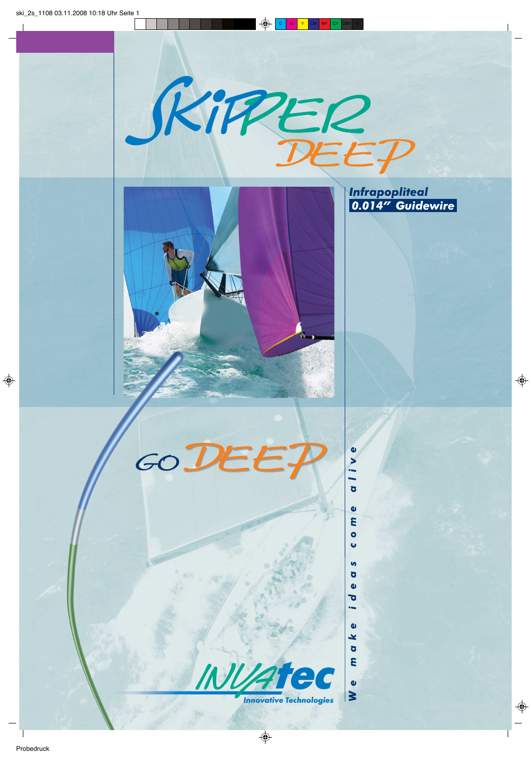



**Infrapopliteal<br>0.014" Guidewire** 

 $\bullet$  $\blacktriangleright$  $\overline{\phantom{a}}$  $\overline{O}$ 

 $\bullet$ E  $\bullet$  $\ddot{\phantom{0}}$ 

 $\mathbf{v}$  $\overline{O}$  $\mathbf{\omega}$  $\overline{\bullet}$ 

 $\bullet$ ¥  $\overline{Q}$ E

 $\bullet$  $\geq$ 





**Innovative Technologies**